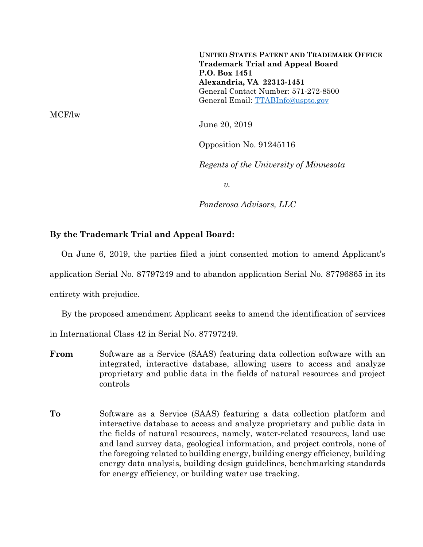**UNITED STATES PATENT AND TRADEMARK OFFICE Trademark Trial and Appeal Board P.O. Box 1451 Alexandria, VA 22313-1451**  General Contact Number: 571-272-8500 General Email: TTABInfo@uspto.gov

June 20, 2019

Opposition No. 91245116

*Regents of the University of Minnesota* 

*v.* 

*Ponderosa Advisors, LLC* 

## **By the Trademark Trial and Appeal Board:**

 On June 6, 2019, the parties filed a joint consented motion to amend Applicant's application Serial No. 87797249 and to abandon application Serial No. 87796865 in its entirety with prejudice.

By the proposed amendment Applicant seeks to amend the identification of services

in International Class 42 in Serial No. 87797249.

- **From** Software as a Service (SAAS) featuring data collection software with an integrated, interactive database, allowing users to access and analyze proprietary and public data in the fields of natural resources and project controls
- **To** Software as a Service (SAAS) featuring a data collection platform and interactive database to access and analyze proprietary and public data in the fields of natural resources, namely, water-related resources, land use and land survey data, geological information, and project controls, none of the foregoing related to building energy, building energy efficiency, building energy data analysis, building design guidelines, benchmarking standards for energy efficiency, or building water use tracking.

MCF/lw